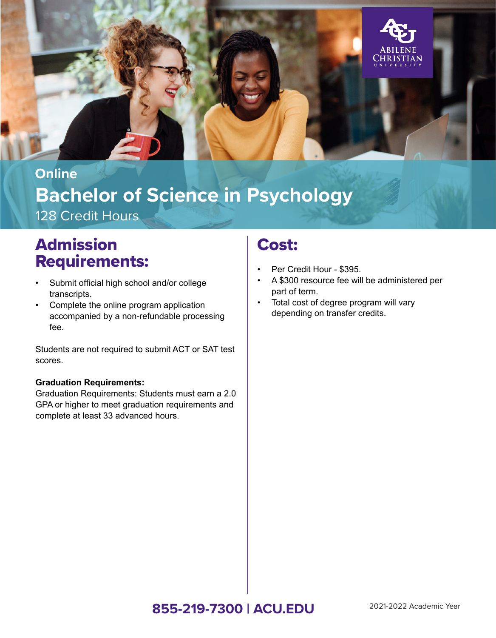

# **Bachelor of Science in Psychology** 128 Credit Hours **Online**

# Admission Requirements:

- Submit official high school and/or college transcripts.
- Complete the online program application accompanied by a non-refundable processing fee.

Students are not required to submit ACT or SAT test scores.

#### **Graduation Requirements:**

Graduation Requirements: Students must earn a 2.0 GPA or higher to meet graduation requirements and complete at least 33 advanced hours.

# Cost:

- Per Credit Hour \$395.
- A \$300 resource fee will be administered per part of term.
- Total cost of degree program will vary depending on transfer credits.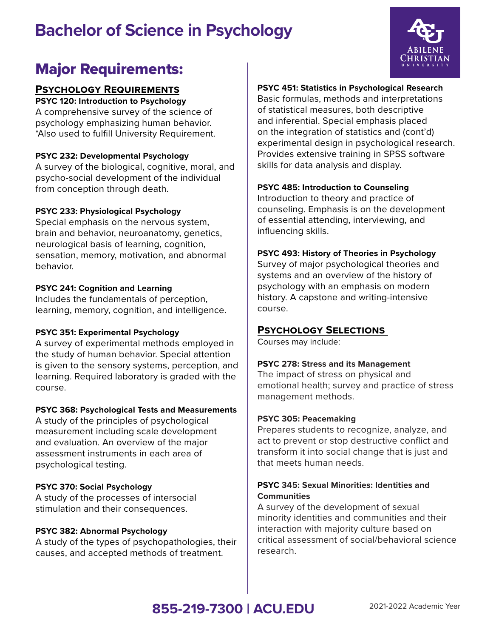# **Bachelor of Science in Psychology**



# Major Requirements:

## **Psychology Requirements**

**PSYC 120: Introduction to Psychology** A comprehensive survey of the science of psychology emphasizing human behavior. \*Also used to fulfill University Requirement.

#### **PSYC 232: Developmental Psychology**

A survey of the biological, cognitive, moral, and psycho-social development of the individual from conception through death.

#### **PSYC 233: Physiological Psychology**

Special emphasis on the nervous system, brain and behavior, neuroanatomy, genetics, neurological basis of learning, cognition, sensation, memory, motivation, and abnormal behavior.

#### **PSYC 241: Cognition and Learning**

Includes the fundamentals of perception, learning, memory, cognition, and intelligence.

#### **PSYC 351: Experimental Psychology**

A survey of experimental methods employed in the study of human behavior. Special attention is given to the sensory systems, perception, and learning. Required laboratory is graded with the course.

#### **PSYC 368: Psychological Tests and Measurements**

A study of the principles of psychological measurement including scale development and evaluation. An overview of the major assessment instruments in each area of psychological testing.

## **PSYC 370: Social Psychology**

A study of the processes of intersocial stimulation and their consequences.

#### **PSYC 382: Abnormal Psychology**

A study of the types of psychopathologies, their causes, and accepted methods of treatment.

#### **PSYC 451: Statistics in Psychological Research**

Basic formulas, methods and interpretations of statistical measures, both descriptive and inferential. Special emphasis placed on the integration of statistics and (cont'd) experimental design in psychological research. Provides extensive training in SPSS software skills for data analysis and display.

#### **PSYC 485: Introduction to Counseling**

Introduction to theory and practice of counseling. Emphasis is on the development of essential attending, interviewing, and influencing skills.

#### **PSYC 493: History of Theories in Psychology**

Survey of major psychological theories and systems and an overview of the history of psychology with an emphasis on modern history. A capstone and writing-intensive course.

## **Psychology Selections**

Courses may include:

#### **PSYC 278: Stress and its Management**

The impact of stress on physical and emotional health; survey and practice of stress management methods.

#### **PSYC 305: Peacemaking**

Prepares students to recognize, analyze, and act to prevent or stop destructive conflict and transform it into social change that is just and that meets human needs.

#### **PSYC 345: Sexual Minorities: Identities and Communities**

A survey of the development of sexual minority identities and communities and their interaction with majority culture based on critical assessment of social/behavioral science research.

# **855-219-7300 | ACU.EDU** 2021-2022 Academic Year